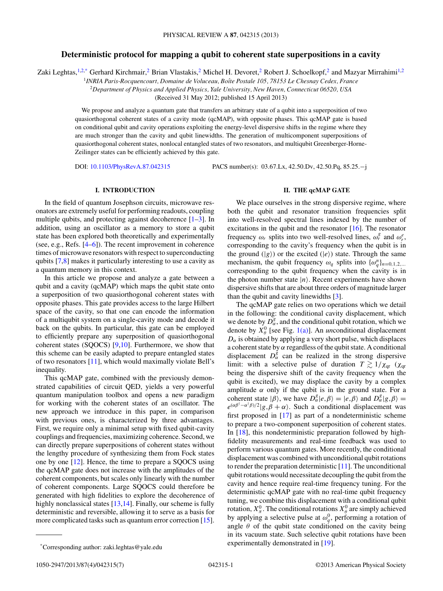# **Deterministic protocol for mapping a qubit to coherent state superpositions in a cavity**

Zaki Leghtas,<sup>1,2,\*</sup> Gerhard Kirchmair,<sup>2</sup> Brian Vlastakis,<sup>2</sup> Michel H. Devoret,<sup>2</sup> Robert J. Schoelkopf,<sup>2</sup> and Mazyar Mirrahimi<sup>1,2</sup>

<sup>1</sup>*INRIA Paris-Rocquencourt, Domaine de Voluceau, Boˆıte Postale 105, 78153 Le Chesnay Cedex, France*

<sup>2</sup>*Department of Physics and Applied Physics, Yale University, New Haven, Connecticut 06520, USA*

(Received 31 May 2012; published 15 April 2013)

We propose and analyze a quantum gate that transfers an arbitrary state of a qubit into a superposition of two quasiorthogonal coherent states of a cavity mode (qcMAP), with opposite phases. This qcMAP gate is based on conditional qubit and cavity operations exploiting the energy-level dispersive shifts in the regime where they are much stronger than the cavity and qubit linewidths. The generation of multicomponent superpositions of quasiorthogonal coherent states, nonlocal entangled states of two resonators, and multiqubit Greenberger-Horne-Zeilinger states can be efficiently achieved by this gate.

DOI: [10.1103/PhysRevA.87.042315](http://dx.doi.org/10.1103/PhysRevA.87.042315) PACS number(s): 03*.*67*.*Lx, 42*.*50*.*Dv, 42*.*50*.*Pq, 85*.*25*.*−j

## **I. INTRODUCTION**

In the field of quantum Josephson circuits, microwave resonators are extremely useful for performing readouts, coupling multiple qubits, and protecting against decoherence  $[1-3]$ . In addition, using an oscillator as a memory to store a qubit state has been explored both theoretically and experimentally (see, e.g., Refs. [\[4–6\]](#page-5-0)). The recent improvement in coherence times of microwave resonators with respect to superconducting qubits [\[7,8\]](#page-5-0) makes it particularly interesting to use a cavity as a quantum memory in this context.

In this article we propose and analyze a gate between a qubit and a cavity (qcMAP) which maps the qubit state onto a superposition of two quasiorthogonal coherent states with opposite phases. This gate provides access to the large Hilbert space of the cavity, so that one can encode the information of a multiqubit system on a single-cavity mode and decode it back on the qubits. In particular, this gate can be employed to efficiently prepare any superposition of quasiorthogonal coherent states (SQOCS) [\[9,10\]](#page-5-0). Furthermore, we show that this scheme can be easily adapted to prepare entangled states of two resonators [\[11\]](#page-5-0), which would maximally violate Bell's inequality.

This qcMAP gate, combined with the previously demonstrated capabilities of circuit QED, yields a very powerful quantum manipulation toolbox and opens a new paradigm for working with the coherent states of an oscillator. The new approach we introduce in this paper, in comparison with previous ones, is characterized by three advantages. First, we require only a minimal setup with fixed qubit-cavity couplings and frequencies, maximizing coherence. Second, we can directly prepare superpositions of coherent states without the lengthy procedure of synthesizing them from Fock states one by one [\[12\]](#page-5-0). Hence, the time to prepare a SQOCS using the qcMAP gate does not increase with the amplitudes of the coherent components, but scales only linearly with the number of coherent components. Large SQOCS could therefore be generated with high fidelities to explore the decoherence of highly nonclassical states  $[13,14]$ . Finally, our scheme is fully deterministic and reversible, allowing it to serve as a basis for more complicated tasks such as quantum error correction [\[15\]](#page-5-0).

### **II. THE qcMAP GATE**

We place ourselves in the strong dispersive regime, where both the qubit and resonator transition frequencies split into well-resolved spectral lines indexed by the number of excitations in the qubit and the resonator  $[16]$ . The resonator frequency  $\omega_r$  splits into two well-resolved lines,  $\omega_r^g$  and  $\omega_r^e$ , corresponding to the cavity's frequency when the qubit is in the ground  $(|g\rangle)$  or the excited  $(|e\rangle)$  state. Through the same mechanism, the qubit frequency  $\omega_q$  splits into  $\{\omega_q^n\}_{n=0,1,2,...}$ corresponding to the qubit frequency when the cavity is in the photon number state  $|n\rangle$ . Recent experiments have shown dispersive shifts that are about three orders of magnitude larger than the qubit and cavity linewidths [\[3\]](#page-5-0).

The qcMAP gate relies on two operations which we detail in the following: the conditional cavity displacement, which we denote by  $D_{\alpha}^{g}$ , and the conditional qubit rotation, which we denote by  $X^0_\theta$  [see Fig. [1\(a\)\]](#page-1-0). An *un*conditional displacement  $D_{\alpha}$  is obtained by applying a very short pulse, which displaces a coherent state by *α* regardless of the qubit state. A conditional displacement  $D^{\check{g}}_{\alpha}$  can be realized in the strong dispersive limit: with a selective pulse of duration  $T \gtrsim 1/\chi_{\text{qr}}$  ( $\chi_{\text{qr}}$ being the dispersive shift of the cavity frequency when the qubit is excited), we may displace the cavity by a complex amplitude  $\alpha$  only if the qubit is in the ground state. For a coherent state  $|\beta\rangle$ , we have  $D^g_\alpha |e, \beta\rangle = |e, \beta\rangle$  and  $D^g_\alpha |g, \beta\rangle =$  $e^{(\alpha \beta^{\dagger}-\alpha^{\dagger} \beta)/2} |g, \beta + \alpha\rangle$ . Such a conditional displacement was first proposed in [\[17\]](#page-5-0) as part of a nondeterministic scheme to prepare a two-component superposition of coherent states. In [\[18\]](#page-5-0), this nondeterministic preparation followed by highfidelity measurements and real-time feedback was used to perform various quantum gates. More recently, the conditional displacement was combined with unconditional qubit rotations to render the preparation deterministic [\[11\]](#page-5-0). The unconditional qubit rotations would necessitate decoupling the qubit from the cavity and hence require real-time frequency tuning. For the deterministic qcMAP gate with no real-time qubit frequency tuning, we combine this displacement with a conditional qubit rotation,  $X^0_\pi$ . The conditional rotations  $X^0_\theta$  are simply achieved by applying a selective pulse at  $\omega_q^0$ , performing a rotation of angle  $\theta$  of the qubit state conditioned on the cavity being in its vacuum state. Such selective qubit rotations have been experimentally demonstrated in [\[19\]](#page-5-0).

<sup>\*</sup>Corresponding author: zaki.leghtas@yale.edu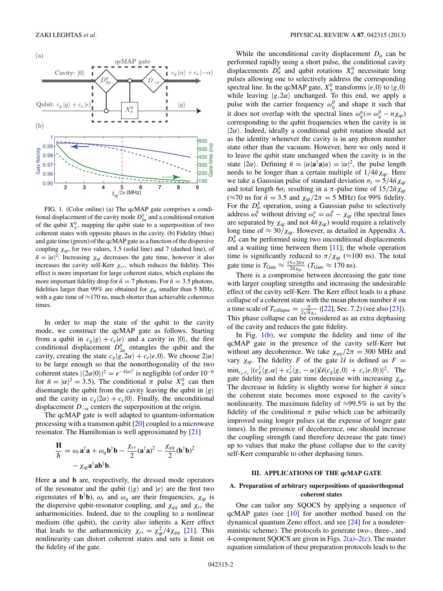<span id="page-1-0"></span>

FIG. 1. (Color online) (a) The qcMAP gate comprises a conditional displacement of the cavity mode  $D_{2\alpha}^g$  and a conditional rotation of the qubit  $X^0_\pi$ , mapping the qubit state to a superposition of two coherent states with opposite phases in the cavity. (b) Fidelity (blue) and gate time (green) of the qcMAP gate as a function of the dispersive coupling  $\chi_{qr}$ , for two values, 3.5 (solid line) and 7 (dashed line), of  $\bar{n} = |\alpha|^2$ . Increasing  $\chi_{qr}$  decreases the gate time, however it also increases the cavity self-Kerr  $\chi_{rr}$ , which reduces the fidelity. This effect is more important for large coherent states, which explains the more important fidelity drop for  $\bar{n} = 7$  photons. For  $\bar{n} = 3.5$  photons, fidelities larger than 99% are obtained for  $\chi_{qr}$  smaller than 5 MHz, with a gate time of  $\approx$ 170 ns, much shorter than achievable coherence times.

In order to map the state of the qubit to the cavity mode, we construct the qcMAP gate as follows. Starting from a qubit in  $c_g|g\rangle + c_e|e\rangle$  and a cavity in  $|0\rangle$ , the first conditional displacement  $D_{2\alpha}^g$  entangles the qubit and the cavity, creating the state  $c_g |g, 2\alpha\rangle + c_e |e, 0\rangle$ . We choose  $2|\alpha|$ to be large enough so that the nonorthogonality of the two coherent states  $|\langle 2\alpha|0\rangle|^2 = e^{-4|\alpha|^2}$  is negligible (of order  $10^{-6}$ for  $\bar{n} = |\alpha|^2 = 3.5$ ). The conditional  $\pi$  pulse  $X_\pi^0$  can then disentangle the qubit from the cavity leaving the qubit in  $|g\rangle$ and the cavity in  $c_g$   $|2\alpha\rangle + c_e$  |0}. Finally, the unconditional displacement  $D_{-\alpha}$  centers the superposition at the origin.

The qcMAP gate is well adapted to quantum-information processing with a transmon qubit [\[20\]](#page-5-0) coupled to a microwave resonator. The Hamiltonian is well approximated by [\[21\]](#page-5-0)

$$
\frac{\mathbf{H}}{\hbar} = \omega_r \mathbf{a}^\dagger \mathbf{a} + \omega_q \mathbf{b}^\dagger \mathbf{b} - \frac{\chi_{rr}}{2} (\mathbf{a}^\dagger \mathbf{a})^2 - \frac{\chi_{qq}}{2} (\mathbf{b}^\dagger \mathbf{b})^2 - \chi_{qr} \mathbf{a}^\dagger \mathbf{a} \mathbf{b}^\dagger \mathbf{b}.
$$

Here **a** and **b** are, respectively, the dressed mode operators of the resonator and the qubit  $(|g\rangle$  and  $|e\rangle$  are the first two eigenstates of  $\mathbf{b}^{\dagger} \mathbf{b}$ ,  $\omega_r$  and  $\omega_q$  are their frequencies,  $\chi_{qr}$  is the dispersive qubit-resonator coupling, and  $\chi_{qq}$  and  $\chi_{rr}$  the anharmonicities. Indeed, due to the coupling to a nonlinear medium (the qubit), the cavity also inherits a Kerr effect that leads to the anharmonicity  $\chi_{rr} = \chi_{qr}^2/4\chi_{qq}$  [\[21\]](#page-5-0). This nonlinearity can distort coherent states and sets a limit on the fidelity of the gate.

While the unconditional cavity displacement  $D_{\alpha}$  can be performed rapidly using a short pulse, the conditional cavity displacements  $D_{\alpha}^{g}$  and qubit rotations  $X_{\theta}^{0}$  necessitate long pulses allowing one to selectively address the corresponding spectral line. In the qcMAP gate,  $X^0_\pi$  transforms  $|e,0\rangle$  to  $|g,0\rangle$ while leaving  $|g, 2\alpha\rangle$  unchanged. To this end, we apply a pulse with the carrier frequency  $\omega_q^0$  and shape it such that it does not overlap with the spectral lines  $\omega_q^n (= \omega_q^0 - n \chi_{qr})$ corresponding to the qubit frequencies when the cavity is in  $|2\alpha\rangle$ . Indeed, ideally a conditional qubit rotation should act as the identity whenever the cavity is in any photon number state other than the vacuum. However, here we only need it to leave the qubit state unchanged when the cavity is in the state  $|2\alpha\rangle$ . Defining  $\bar{n} = \langle \alpha | \mathbf{a}^\dagger \mathbf{a} | \alpha \rangle = |\alpha|^2$ , the pulse length needs to be longer than a certain multiple of  $1/4\bar{n}\chi_{qr}$ . Here we take a Gaussian pulse of standard deviation  $\sigma_t = 5/4\bar{n}\chi_{\text{qr}}$ and total length  $6\sigma_t$  resulting in a  $\pi$ -pulse time of  $15/2\bar{n}\chi_{\text{qr}}$ (≈70 ns for  $\bar{n}$  = 3.5 and  $\chi_{qr}/2\pi$  = 5 MHz) for 99% fidelity. For the  $D^g_\alpha$  operation, using a Gaussian pulse to selectively address  $\omega_r^g$  without driving  $\omega_r^e = \omega_r^g - \chi_{qr}$  (the spectral lines are separated by  $\chi_{qr}$  and not  $4\bar{n}\chi_{qr}$ ) would require a relatively long time of  $\approx 30/\chi_{qr}$ . However, as detailed in Appendix [A,](#page-3-0)  $D^g_\alpha$  can be performed using two unconditional displacements and a waiting time between them  $[11]$ ; the whole operation time is significantly reduced to  $\pi/\chi_{qr}$  ( $\approx$ 100 ns). The total gate time is  $T_{\text{Gate}} \approx \frac{15 + 2\bar{n}\pi}{2\bar{n}\chi_{\text{qr}}}$  ( $T_{\text{Gate}} \approx 170 \text{ ns}$ ).

There is a compromise between decreasing the gate time with larger coupling strengths and increasing the undesirable effect of the cavity self-Kerr. The Kerr effect leads to a phase collapse of a coherent state with the mean photon number  $\bar{n}$  on a time scale of  $T_{\text{collapse}} = \frac{\pi}{2\sqrt{\bar{n}}\chi_{rr}}$  ([\[22\]](#page-5-0), Sec. 7.2) (see also [\[23\]](#page-5-0)). This phase collapse can be considered as an extra dephasing of the cavity and reduces the gate fidelity.

In Fig.  $1(b)$ , we compute the fidelity and time of the qcMAP gate in the presence of the cavity self-Kerr but without any decoherence. We take  $\chi_{qq}/2\pi = 300$  MHz and vary  $\chi_{qr}$ . The fidelity *F* of the gate  $\mathcal{U}$  is defined as *F* =  $\min_{c_g, c_e} |(c_g^{\dagger} \langle g, \alpha | + c_e^{\dagger} \langle g, -\alpha |) \mathcal{U}(c_g | g, 0) + c_e |e, 0\rangle)|^2$ . The gate fidelity and the gate time decrease with increasing *χ*qr. The decrease in fidelity is slightly worse for higher  $\bar{n}$  since the coherent state becomes more exposed to the cavity's nonlinearity. The maximum fidelity of ≈99*.*5% is set by the fidelity of the conditional  $\pi$  pulse which can be arbitrarily improved using longer pulses (at the expense of longer gate times). In the presence of decoherence, one should increase the coupling strength (and therefore decrease the gate time) up to values that make the phase collapse due to the cavity self-Kerr comparable to other dephasing times.

## **III. APPLICATIONS OF THE qcMAP GATE**

## **A. Preparation of arbitrary superpositions of quasiorthogonal coherent states**

One can tailor any SQOCS by applying a sequence of qcMAP gates (see [\[10\]](#page-5-0) for another method based on the dynamical quantum Zeno effect, and see [\[24\]](#page-5-0) for a nondeterministic scheme). The protocols to generate two-, three-, and 4-component SQOCS are given in Figs.  $2(a)-2(c)$ . The master equation simulation of these preparation protocols leads to the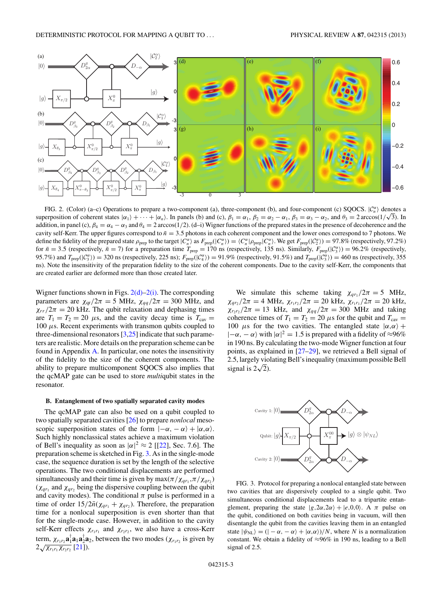<span id="page-2-0"></span>

FIG. 2. (Color) (a–c) Operations to prepare a two-component (a), three-component (b), and four-component (c) SQOCS.  $\mathcal{C}_n^{\alpha}$  denotes a FIG. 2. (Color) (a–c) Operations to prepare a two-component (a), three-component (b), and four-component (c) SQOCS.  $|C_n^* \rangle$  denotes a<br>superposition of coherent states  $|α_1 \rangle + \cdots + |α_n \rangle$ . In panels (b) and (c),  $β_1 = α_1$ addition, in panel (c),  $\beta_4 = \alpha_4 - \alpha_3$  and  $\theta_4 = 2 \arccos(1/2)$ . (d–i) Wigner functions of the prepared states in the presence of decoherence and the cavity self-Kerr. The upper figures correspond to  $\bar{n} = 3.5$  photons in each coherent component and the lower ones correspond to 7 photons. We define the fidelity of the prepared state  $\rho_{\text{prep}}$  to the target  $|C_n^{\alpha}\rangle$  as  $F_{\text{prep}}(|C_n^{\alpha}\rangle) = \langle C_n^{\alpha}|\rho_{\text{prep}}|C_n^{\alpha}\rangle$ . We get  $F_{\text{prep}}(|C_2^{\alpha}\rangle) = 97.8\%$  (respectively, 97.2%) for  $\bar{n} = 3.5$  (respectively,  $\bar{n} = 7$ ) for a preparation time  $T_{\text{prep}} = 170$  ns (respectively, 135 ns). Similarly,  $F_{\text{prep}}(\vert \mathcal{C}_3^{\alpha} \rangle) = 96.2\%$  (respectively, 95.7%) and  $T_{\text{prep}}(\vert C_3^{\alpha} \rangle) = 320 \text{ ns}$  (respectively, 225 ns);  $F_{\text{prep}}(\vert C_4^{\alpha} \rangle) = 91.9\%$  (respectively, 91.5%) and  $T_{\text{prep}}(\vert C_3^{\alpha} \rangle) = 460 \text{ ns}$  (respectively, 355 ns). Note the insensitivity of the preparation fidelity to the size of the coherent components. Due to the cavity self-Kerr, the components that are created earlier are deformed more than those created later.

Wigner functions shown in Figs.  $2(d)-2(i)$ . The corresponding parameters are  $\chi_{qr}/2\pi = 5$  MHz,  $\chi_{qq}/2\pi = 300$  MHz, and  $\chi_{rr}/2\pi = 20$  kHz. The qubit relaxation and dephasing times are  $T_1 = T_2 = 20 \mu s$ , and the cavity decay time is  $T_{\text{cav}} =$ 100 *μ*s. Recent experiments with transmon qubits coupled to three-dimensional resonators  $[3,25]$  indicate that such parameters are realistic. More details on the preparation scheme can be found in Appendix [A.](#page-3-0) In particular, one notes the insensitivity of the fidelity to the size of the coherent components. The ability to prepare multicomponent SQOCS also implies that the qcMAP gate can be used to store *multi*qubit states in the resonator.

#### **B. Entanglement of two spatially separated cavity modes**

The qcMAP gate can also be used on a qubit coupled to two spatially separated cavities [\[26\]](#page-5-0) to prepare *nonlocal* mesoscopic superposition states of the form  $|-\alpha, -\alpha\rangle + |\alpha, \alpha\rangle$ . Such highly nonclassical states achieve a maximum violation of Bell's inequality as soon as  $|\alpha|^2 \approx 2$  [[\[22\]](#page-5-0), Sec. 7.6]. The preparation scheme is sketched in Fig. 3. As in the single-mode case, the sequence duration is set by the length of the selective operations. The two conditional displacements are performed simultaneously and their time is given by  $\max(\pi/\chi_{qr_1}, \pi/\chi_{qr_2})$  $(\chi_{qr_1}$  and  $\chi_{qr_2}$  being the dispersive coupling between the qubit and cavity modes). The conditional  $\pi$  pulse is performed in a time of order  $15/2\bar{n}(\chi_{qr_1} + \chi_{qr_2})$ . Therefore, the preparation time for a nonlocal superposition is even shorter than that for the single-mode case. However, in addition to the cavity self-Kerr effects  $\chi_{r_1r_1}$  and  $\chi_{r_2r_2}$ , we also have a cross-Kerr term,  $\chi_{r_1r_2}$  $\mathbf{a}_1^{\mathsf{T}}\mathbf{a}_1\mathbf{a}_2^{\mathsf{T}}\mathbf{a}_2$ , between the two modes ( $\chi_{r_1r_2}$  is given by  $2\sqrt{\chi_{r_1r_1}\chi_{r_2r_2}}$  [\[21\]](#page-5-0)).

We simulate this scheme taking  $\chi_{qr_1}/2\pi = 5$  MHz, *χ*<sub>*qr*2</sub> /2*π* = 4 MHz,  $χ_{r_1r_2}/2π$  = 20 kHz,  $χ_{r_1r_1}/2π$  = 20 kHz,  $\chi_{r_2 r_2}/2\pi = 13$  kHz, and  $\chi_{qq}/2\pi = 300$  MHz and taking coherence times of  $T_1 = T_2 = 20 \mu s$  for the qubit and  $T_{\text{cav}} =$ 100  $\mu$ s for the two cavities. The entangled state  $|\alpha,\alpha\rangle$  +  $|-\alpha, -\alpha\rangle$  with  $|\alpha|^2 = 1.5$  is prepared with a fidelity of ≈96% in 190 ns. By calculating the two-mode Wigner function at four points, as explained in [\[27–29\]](#page-5-0), we retrieved a Bell signal of 2.5, largely violating Bell's inequality (maximum possible Bell signal is  $2\sqrt{2}$ ).



FIG. 3. Protocol for preparing a nonlocal entangled state between two cavities that are dispersively coupled to a single qubit. Two simultaneous conditional displacements lead to a tripartite entanglement, preparing the state  $|g, 2\alpha, 2\alpha\rangle + |e, 0, 0\rangle$ . A  $\pi$  pulse on the qubit, conditioned on both cavities being in vacuum, will then disentangle the qubit from the cavities leaving them in an entangled state  $|\psi_{\text{NL}}\rangle = ( |-\alpha, -\alpha\rangle + |\alpha, \alpha\rangle)/N$ , where *N* is a normalization constant. We obtain a fidelity of  $\approx 96\%$  in 190 ns, leading to a Bell signal of 2.5.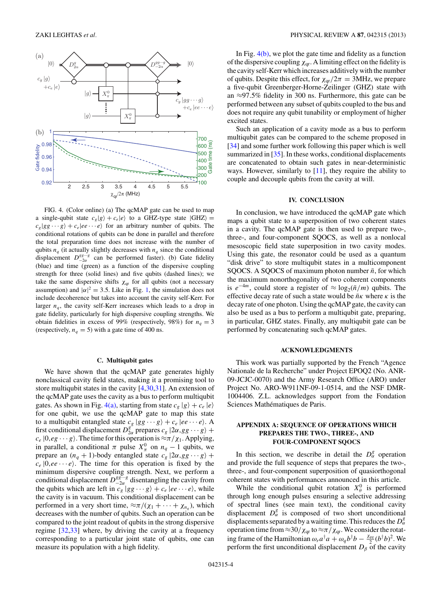<span id="page-3-0"></span>

FIG. 4. (Color online) (a) The qcMAP gate can be used to map a single-qubit state  $c_g |g\rangle + c_e |e\rangle$  to a GHZ-type state  $|GHZ\rangle =$  $c_g | gg \cdots g \rangle + c_e |ee \cdots e \rangle$  for an arbitrary number of qubits. The conditional rotations of qubits can be done in parallel and therefore the total preparation time does not increase with the number of qubits  $n_q$  (it actually slightly decreases with  $n_q$  since the conditional displacement  $D_{-2\alpha}^{gg\cdots g}$  can be performed faster). (b) Gate fidelity (blue) and time (green) as a function of the dispersive coupling strength for three (solid lines) and five qubits (dashed lines); we take the same dispersive shifts  $\chi_{qr}$  for all qubits (not a necessary assumption) and  $|\alpha|^2 = 3.5$ . Like in Fig. [1,](#page-1-0) the simulation does not include decoherence but takes into account the cavity self-Kerr. For larger  $n_q$ , the cavity self-Kerr increases which leads to a drop in gate fidelity, particularly for high dispersive coupling strengths. We obtain fidelities in excess of 99% (respectively, 98%) for  $n_q = 3$ (respectively,  $n_q = 5$ ) with a gate time of 400 ns.

## **C. Multiqubit gates**

We have shown that the qcMAP gate generates highly nonclassical cavity field states, making it a promising tool to store multiqubit states in the cavity [\[4](#page-5-0)[,30,31\]](#page-6-0). An extension of the qcMAP gate uses the cavity as a bus to perform multiqubit gates. As shown in Fig. 4(a), starting from state  $c_g |g\rangle + c_e |e\rangle$ for one qubit, we use the qcMAP gate to map this state to a multiqubit entangled state  $c_g | gg \cdots g \rangle + c_e |ee \cdots e \rangle$ . A first conditional displacement  $D_{2\alpha}^{g^o}$  prepares  $c_g | 2\alpha, gg \cdots g \rangle +$  $c_e$  |0,*eg* ··· *g*). The time for this operation is  $\approx \pi/\chi_1$ . Applying, in parallel, a conditional  $\pi$  pulse  $X_{\pi}^{0}$  on  $n_q - 1$  qubits, we prepare an  $(n_q + 1)$ -body entangled state  $c_g | 2\alpha, gg \cdots g \rangle +$  $c_e$  |0,*ee*  $\cdots$ *e*). The time for this operation is fixed by the minimum dispersive coupling strength. Next, we perform a conditional displacement  $D_{-2\alpha}^{gg\cdots g}$  disentangling the cavity from the qubits which are left in  $c_g | gg \cdots g \rangle + c_e |ee \cdots e \rangle$ , while the cavity is in vacuum. This conditional displacement can be performed in a very short time,  $\approx \pi/(\chi_1 + \cdots + \chi_{n_q})$ , which decreases with the number of qubits. Such an operation can be compared to the joint readout of qubits in the strong dispersive regime [\[32,33\]](#page-6-0) where, by driving the cavity at a frequency corresponding to a particular joint state of qubits, one can measure its population with a high fidelity.

In Fig.  $4(b)$ , we plot the gate time and fidelity as a function of the dispersive coupling  $\chi_{\text{ar}}$ . A limiting effect on the fidelity is the cavity self-Kerr which increases additively with the number of qubits. Despite this effect, for  $\chi_{qr}/2\pi = 3$ MHz, we prepare a five-qubit Greenberger-Horne-Zeilinger (GHZ) state with an ≈97*.*5% fidelity in 300 ns. Furthermore, this gate can be performed between any subset of qubits coupled to the bus and does not require any qubit tunability or employment of higher excited states.

Such an application of a cavity mode as a bus to perform multiqubit gates can be compared to the scheme proposed in [\[34\]](#page-6-0) and some further work following this paper which is well summarized in [\[35\]](#page-6-0). In these works, conditional displacements are concatenated to obtain such gates in near-deterministic ways. However, similarly to  $[11]$ , they require the ability to couple and decouple qubits from the cavity at will.

## **IV. CONCLUSION**

In conclusion, we have introduced the qcMAP gate which maps a qubit state to a superposition of two coherent states in a cavity. The qcMAP gate is then used to prepare two-, three-, and four-component SQOCS, as well as a nonlocal mesoscopic field state superposition in two cavity modes. Using this gate, the resonator could be used as a quantum "disk drive" to store multiqubit states in a multicomponent SQOCS. A SQOCS of maximum photon number  $\bar{n}$ , for which the maximum nonorthogonality of two coherent components is  $e^{-4m}$ , could store a register of  $\approx \log_2(\bar{n}/m)$  qubits. The effective decay rate of such a state would be  $\bar{n}\kappa$  where  $\kappa$  is the decay rate of one photon. Using the qcMAP gate, the cavity can also be used as a bus to perform a multiqubit gate, preparing, in particular, GHZ states. Finally, any multiqubit gate can be performed by concatenating such qcMAP gates.

### **ACKNOWLEDGMENTS**

This work was partially supported by the French "Agence Nationale de la Recherche" under Project EPOQ2 (No. ANR-09-JCJC-0070) and the Army Research Office (ARO) under Project No. ARO-W911NF-09-1-0514, and the NSF DMR-1004406. Z.L. acknowledges support from the Fondation Sciences Mathématiques de Paris.

## **APPENDIX A: SEQUENCE OF OPERATIONS WHICH PREPARES THE TWO-, THREE-, AND FOUR-COMPONENT SQOCS**

In this section, we describe in detail the  $D^g_\alpha$  operation and provide the full sequence of steps that prepares the two-, three-, and four-component superposition of quasiorthogonal coherent states with performances announced in this article.

While the conditional qubit rotation  $X^0_\theta$  is performed through long enough pulses ensuring a selective addressing of spectral lines (see main text), the conditional cavity displacement  $D^g_\alpha$  is composed of two short unconditional displacements separated by a waiting time. This reduces the *D<sup>g</sup> α* operation time from≈30*/χ*qr to≈*π/χ*qr.We consider the rotating frame of the Hamiltonian  $\omega_r a^{\dagger} a + \omega_q b^{\dagger} b - \frac{\chi_{qq}}{2} (b^{\dagger} b)^2$ . We perform the first unconditional displacement  $D_\beta$  of the cavity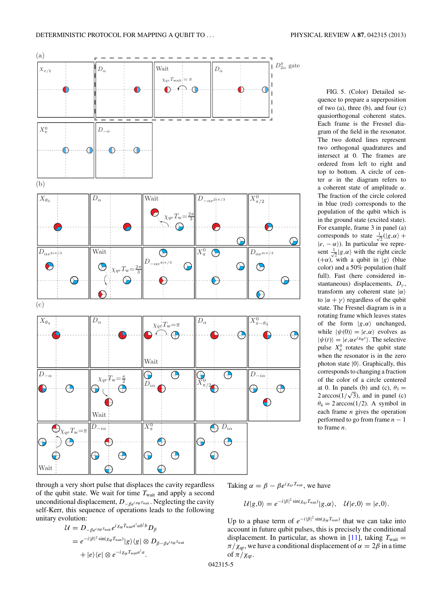<span id="page-4-0"></span>

FIG. 5. (Color) Detailed sequence to prepare a superposition of two (a), three (b), and four (c) quasiorthogonal coherent states. Each frame is the Fresnel diagram of the field in the resonator. The two dotted lines represent two orthogonal quadratures and intersect at 0. The frames are ordered from left to right and top to bottom. A circle of center  $\alpha$  in the diagram refers to a coherent state of amplitude *α*. The fraction of the circle colored in blue (red) corresponds to the population of the qubit which is in the ground state (excited state). For example, frame 3 in panel (a) corresponds to state  $\frac{1}{\sqrt{2}}(|g,\alpha\rangle +$  $|e, -\alpha\rangle$ ). In particular we represent  $\frac{1}{\sqrt{2}} |g, \alpha\rangle$  with the right circle  $(+\alpha)$ , with a qubit in |g (blue color) and a 50% population (half full). Fast (here considered instantaneous) displacements, *Dγ* , transform any coherent state |*α* to  $|\alpha + \gamma\rangle$  regardless of the qubit state. The Fresnel diagram is in a rotating frame which leaves states of the form  $|g, \alpha\rangle$  unchanged, while  $|\psi(0)\rangle = |e,\alpha\rangle$  evolves as  $|\psi(t)\rangle = |e, \alpha e^{i\chi_{\text{qr}}t}\rangle$ . The selective pulse  $X^0_\theta$  rotates the qubit state when the resonator is in the zero photon state  $|0\rangle$ . Graphically, this corresponds to changing a fraction of the color of a circle centered at 0. In panels (b) and (c),  $\theta_3 =$ at 0. In panels (b) and (c),  $\theta_3 = 2 \arccos(1/\sqrt{3})$ , and in panel (c)  $\theta_4 = 2 \arccos(1/2)$ . A symbol in each frame *n* gives the operation performed to go from frame  $n - 1$ to frame *n*.

through a very short pulse that displaces the cavity regardless of the qubit state. We wait for time  $T_{\text{wait}}$  and apply a second unconditional displacement,  $D_{-\beta e^{i\chi_{\text{qr}}}}$ *Twait* . Neglecting the cavity self-Kerr, this sequence of operations leads to the following unitary evolution:

$$
\mathcal{U} = D_{-\beta e^{i \chi_{\text{qr}}} \text{Twait}} e^{i \chi_{\text{qr}} T_{\text{wnit}} a^{\dagger} a b^{\dagger} b} D_{\beta}
$$
\n
$$
= e^{-i |\beta|^2 \sin(\chi_{\text{qr}} T_{\text{wnit}})} |g\rangle\langle g| \otimes D_{\beta - \beta e^{i \chi_{\text{qr}}} T_{\text{wnit}}}
$$
\n
$$
+ |e\rangle\langle e| \otimes e^{-i \chi_{\text{qr}} T_{\text{wnit}} a^{\dagger} a}.
$$

Taking  $\alpha = \beta - \beta e^{i \chi_{\text{qr}} T_{\text{wait}}}$ , we have

$$
\mathcal{U}|g,0\rangle=e^{-i|\beta|^2\sin(\chi_{\text{qr}}T_{\text{wait}})}|g,\alpha\rangle,\quad \mathcal{U}|e,0\rangle=|e,0\rangle.
$$

Up to a phase term of  $e^{-i|\beta|^2 \sin(\chi_{\text{qr}} T_{\text{wait}})}$  that we can take into account in future qubit pulses, this is precisely the conditional displacement. In particular, as shown in [\[11\]](#page-5-0), taking  $T_{\text{wait}} =$  $\pi/\chi_{\text{qr}}$ , we have a conditional displacement of  $\alpha = 2\beta$  in a time of  $\pi/\chi_{\text{qr}}$ .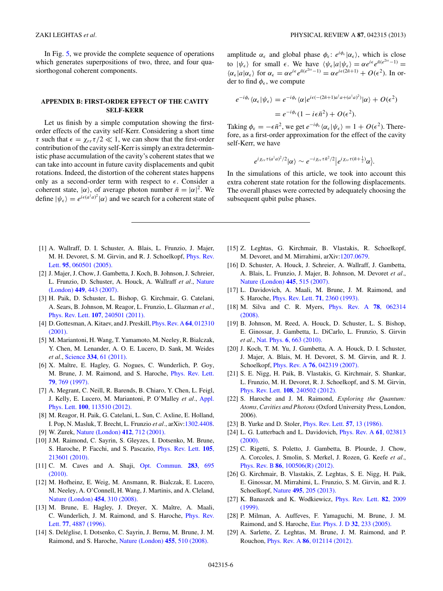<span id="page-5-0"></span>In Fig. [5,](#page-4-0) we provide the complete sequence of operations which generates superpositions of two, three, and four quasiorthogonal coherent components.

## **APPENDIX B: FIRST-ORDER EFFECT OF THE CAVITY SELF-KERR**

Let us finish by a simple computation showing the firstorder effects of the cavity self-Kerr. Considering a short time *τ* such that  $\epsilon = \chi_{rr} \tau/2 \ll 1$ , we can show that the first-order contribution of the cavity self-Kerr is simply an extra deterministic phase accumulation of the cavity's coherent states that we can take into account in future cavity displacements and qubit rotations. Indeed, the distortion of the coherent states happens only as a second-order term with respect to  $\epsilon$ . Consider a coherent state,  $|\alpha\rangle$ , of average photon number  $\bar{n} = |\alpha|^2$ . We define  $|\psi_{\epsilon}\rangle = e^{i\epsilon(a^{\dagger}a)^2}|\alpha\rangle$  and we search for a coherent state of

amplitude  $\alpha_{\epsilon}$  and global phase  $\phi_{\epsilon}$ :  $e^{i\phi_{\epsilon}}|\alpha_{\epsilon}\rangle$ , which is close to  $|\psi_{\epsilon}\rangle$  for small  $\epsilon$ . We have  $\langle \psi_{\epsilon} | a | \psi_{\epsilon} \rangle = \alpha e^{i\epsilon} e^{\bar{n}(e^{2i\epsilon} - 1)}$  $\langle \alpha_{\epsilon} | a | \alpha_{\epsilon} \rangle$  for  $\alpha_{\epsilon} = \alpha e^{i\epsilon} e^{\bar{n}(e^{2i\epsilon}-1)} = \alpha e^{i\epsilon(2\bar{n}+1)} + O(\epsilon^2)$ . In order to find  $\phi_{\epsilon}$ , we compute

$$
e^{-i\phi_{\epsilon}}\langle \alpha_{\epsilon}|\psi_{\epsilon}\rangle = e^{-i\phi_{\epsilon}}\langle \alpha|e^{i\epsilon(-(2\bar{n}+1)a^{\dagger}a+(a^{\dagger}a)^{2})}|\alpha\rangle + O(\epsilon^{2})
$$

$$
= e^{-i\phi_{\epsilon}}(1-i\epsilon\bar{n}^{2}) + O(\epsilon^{2}).
$$

Taking  $\phi_{\epsilon} = -\epsilon \bar{n}^2$ , we get  $e^{-i\phi_{\epsilon}} \langle \alpha_{\epsilon} | \psi_{\epsilon} \rangle = 1 + O(\epsilon^2)$ . Therefore, as a first-order approximation for the effect of the cavity self-Kerr, we have

$$
e^{i\chi_{rr}\tau(a^{\dagger}a)^2/2}|\alpha\rangle \sim e^{-i\chi_{rr}\tau\bar{n}^2/2}|e^{i\chi_{rr}\tau(\bar{n}+\frac{1}{2})}\alpha\rangle.
$$

In the simulations of this article, we took into account this extra coherent state rotation for the following displacements. The overall phases were corrected by adequately choosing the subsequent qubit pulse phases.

- [1] A. Wallraff, D. I. Schuster, A. Blais, L. Frunzio, J. Majer, M. H. Devoret, S. M. Girvin, and R. J. Schoelkopf, [Phys. Rev.](http://dx.doi.org/10.1103/PhysRevLett.95.060501) Lett. **95**[, 060501 \(2005\).](http://dx.doi.org/10.1103/PhysRevLett.95.060501)
- [2] J. Majer, J. Chow, J. Gambetta, J. Koch, B. Johnson, J. Schreier, L. Frunzio, D. Schuster, A. Houck, A. Wallraff *et al.*, [Nature](http://dx.doi.org/10.1038/nature06184) (London) **449**[, 443 \(2007\).](http://dx.doi.org/10.1038/nature06184)
- [3] H. Paik, D. Schuster, L. Bishop, G. Kirchmair, G. Catelani, A. Sears, B. Johnson, M. Reagor, L. Frunzio, L. Glazman *et al.*, Phys. Rev. Lett. **107**[, 240501 \(2011\).](http://dx.doi.org/10.1103/PhysRevLett.107.240501)
- [4] D. Gottesman, A. Kitaev, and J. Preskill, [Phys. Rev. A](http://dx.doi.org/10.1103/PhysRevA.64.012310) **64**, 012310 [\(2001\).](http://dx.doi.org/10.1103/PhysRevA.64.012310)
- [5] M. Mariantoni, H. Wang, T. Yamamoto, M. Neeley, R. Bialczak, Y. Chen, M. Lenander, A. O. E. Lucero, D. Sank, M. Weides *et al.*, Science **334**[, 61 \(2011\).](http://dx.doi.org/10.1126/science.1208517)
- [6] X. Maître, E. Hagley, G. Nogues, C. Wunderlich, P. Goy, M. Brune, J. M. Raimond, and S. Haroche, [Phys. Rev. Lett.](http://dx.doi.org/10.1103/PhysRevLett.79.769) **79**[, 769 \(1997\).](http://dx.doi.org/10.1103/PhysRevLett.79.769)
- [7] A. Megrant, C. Neill, R. Barends, B. Chiaro, Y. Chen, L. Feigl, J. Kelly, E. Lucero, M. Mariantoni, P. O'Malley *et al.*, [Appl.](http://dx.doi.org/10.1063/1.3693409) Phys. Lett. **100**[, 113510 \(2012\).](http://dx.doi.org/10.1063/1.3693409)
- [8] M. Reagor, H. Paik, G. Catelani, L. Sun, C. Axline, E. Holland, I. Pop, N. Masluk, T. Brecht, L. Frunzio *et al.*, arXiv[:1302.4408.](http://arXiv.org/abs/1302.4408) [9] W. Zurek, [Nature \(London\)](http://dx.doi.org/10.1038/35089017) **412**, 712 (2001).
- 
- [10] J.M. Raimond, C. Sayrin, S. Gleyzes, I. Dotsenko, M. Brune, S. Haroche, P. Facchi, and S. Pascazio, [Phys. Rev. Lett.](http://dx.doi.org/10.1103/PhysRevLett.105.213601) **105**, [213601 \(2010\).](http://dx.doi.org/10.1103/PhysRevLett.105.213601)
- [11] C. M. Caves and A. Shaji, [Opt. Commun.](http://dx.doi.org/10.1016/j.optcom.2009.10.065) **283**, 695 [\(2010\).](http://dx.doi.org/10.1016/j.optcom.2009.10.065)
- [12] M. Hofheinz, E. Weig, M. Ansmann, R. Bialczak, E. Lucero, M. Neeley, A. O'Connell, H. Wang, J. Martinis, and A. Cleland, [Nature \(London\)](http://dx.doi.org/10.1038/nature07136) **454**, 310 (2008).
- [13] M. Brune, E. Hagley, J. Dreyer, X. Maître, A. Maali, C. Wunderlich, J. M. Raimond, and S. Haroche, [Phys. Rev.](http://dx.doi.org/10.1103/PhysRevLett.77.4887) Lett. **77**[, 4887 \(1996\).](http://dx.doi.org/10.1103/PhysRevLett.77.4887)
- [14] S. Deléglise, I. Dotsenko, C. Sayrin, J. Bernu, M. Brune, J. M. Raimond, and S. Haroche, [Nature \(London\)](http://dx.doi.org/10.1038/nature07288) **455**, 510 (2008).
- [15] Z. Leghtas, G. Kirchmair, B. Vlastakis, R. Schoelkopf, M. Devoret, and M. Mirrahimi, arXiv[:1207.0679.](http://arXiv.org/abs/1207.0679)
- [16] D. Schuster, A. Houck, J. Schreier, A. Wallraff, J. Gambetta, A. Blais, L. Frunzio, J. Majer, B. Johnson, M. Devoret *et al.*, [Nature \(London\)](http://dx.doi.org/10.1038/nature05461) **445**, 515 (2007).
- [17] L. Davidovich, A. Maali, M. Brune, J. M. Raimond, and S. Haroche, [Phys. Rev. Lett.](http://dx.doi.org/10.1103/PhysRevLett.71.2360) **71**, 2360 (1993).
- [18] M. Silva and C. R. Myers, [Phys. Rev. A](http://dx.doi.org/10.1103/PhysRevA.78.062314) **78**, 062314 [\(2008\).](http://dx.doi.org/10.1103/PhysRevA.78.062314)
- [19] B. Johnson, M. Reed, A. Houck, D. Schuster, L. S. Bishop, E. Ginossar, J. Gambetta, L. DiCarlo, L. Frunzio, S. Girvin *et al.*, Nat. Phys. **6**[, 663 \(2010\).](http://dx.doi.org/10.1038/nphys1710)
- [20] J. Koch, T. M. Yu, J. Gambetta, A. A. Houck, D. I. Schuster, J. Majer, A. Blais, M. H. Devoret, S. M. Girvin, and R. J. Schoelkopf, Phys. Rev. A **76**[, 042319 \(2007\).](http://dx.doi.org/10.1103/PhysRevA.76.042319)
- [21] S. E. Nigg, H. Paik, B. Vlastakis, G. Kirchmair, S. Shankar, L. Frunzio, M. H. Devoret, R. J. Schoelkopf, and S. M. Girvin, Phys. Rev. Lett. **108**[, 240502 \(2012\).](http://dx.doi.org/10.1103/PhysRevLett.108.240502)
- [22] S. Haroche and J. M. Raimond, *Exploring the Quantum: Atoms, Cavities and Photons* (Oxford University Press, London, 2006).
- [23] B. Yurke and D. Stoler, [Phys. Rev. Lett.](http://dx.doi.org/10.1103/PhysRevLett.57.13) **57**, 13 (1986).
- [24] L. G. Lutterbach and L. Davidovich, [Phys. Rev. A](http://dx.doi.org/10.1103/PhysRevA.61.023813) **61**, 023813 [\(2000\).](http://dx.doi.org/10.1103/PhysRevA.61.023813)
- [25] C. Rigetti, S. Poletto, J. Gambetta, B. Plourde, J. Chow, A. Corcoles, J. Smolin, S. Merkel, J. Rozen, G. Keefe *et al.*, Phys. Rev. B **86**[, 100506\(R\) \(2012\).](http://dx.doi.org/10.1103/PhysRevB.86.100506)
- [26] G. Kirchmair, B. Vlastakis, Z. Leghtas, S. E. Nigg, H. Paik, E. Ginossar, M. Mirrahimi, L. Frunzio, S. M. Girvin, and R. J. Schoelkopf, Nature **495**[, 205 \(2013\).](http://dx.doi.org/10.1038/nature11902)
- [27] K. Banaszek and K. Wodkiewicz, [Phys. Rev. Lett.](http://dx.doi.org/10.1103/PhysRevLett.82.2009) **82**, 2009 [\(1999\).](http://dx.doi.org/10.1103/PhysRevLett.82.2009)
- [28] P. Milman, A. Auffeves, F. Yamaguchi, M. Brune, J. M. Raimond, and S. Haroche, [Eur. Phys. J. D](http://dx.doi.org/10.1140/epjd/e2004-00171-6) **32**, 233 (2005).
- [29] A. Sarlette, Z. Leghtas, M. Brune, J. M. Raimond, and P. Rouchon, Phys. Rev. A **86**[, 012114 \(2012\).](http://dx.doi.org/10.1103/PhysRevA.86.012114)